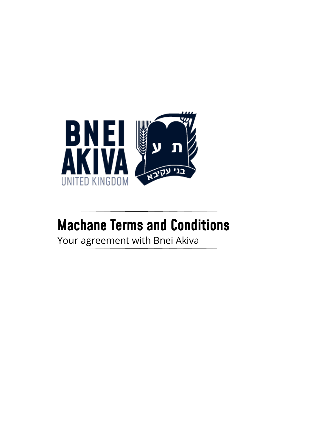

## **Machane Terms and Conditions**

Your agreement with Bnei Akiva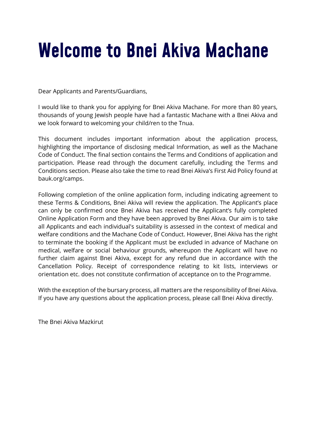# Welcome to Bnei Akiva Machane

Dear Applicants and Parents/Guardians,

I would like to thank you for applying for Bnei Akiva Machane. For more than 80 years, thousands of young Jewish people have had a fantastic Machane with a Bnei Akiva and we look forward to welcoming your child/ren to the Tnua.

This document includes important information about the application process, highlighting the importance of disclosing medical Information, as well as the Machane Code of Conduct. The final section contains the Terms and Conditions of application and participation. Please read through the document carefully, including the Terms and Conditions section. Please also take the time to read Bnei Akiva's First Aid Policy found at bauk.org/camps.

Following completion of the online application form, including indicating agreement to these Terms & Conditions, Bnei Akiva will review the application. The Applicant's place can only be confirmed once Bnei Akiva has received the Applicant's fully completed Online Application Form and they have been approved by Bnei Akiva. Our aim is to take all Applicants and each individual's suitability is assessed in the context of medical and welfare conditions and the Machane Code of Conduct. However, Bnei Akiva has the right to terminate the booking if the Applicant must be excluded in advance of Machane on medical, welfare or social behaviour grounds, whereupon the Applicant will have no further claim against Bnei Akiva, except for any refund due in accordance with the Cancellation Policy. Receipt of correspondence relating to kit lists, interviews or orientation etc. does not constitute confirmation of acceptance on to the Programme.

With the exception of the bursary process, all matters are the responsibility of Bnei Akiva. If you have any questions about the application process, please call Bnei Akiva directly.

The Bnei Akiva Mazkirut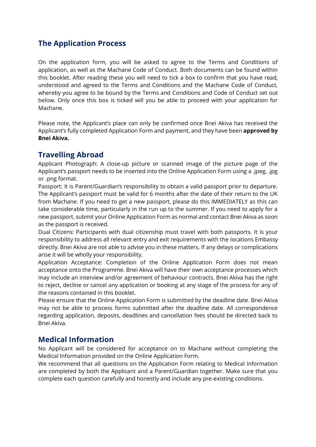### **The Application Process**

On the application form, you will be asked to agree to the Terms and Conditions of application, as well as the Machane Code of Conduct. Both documents can be found within this booklet. After reading these you will need to tick a box to confirm that you have read, understood and agreed to the Terms and Conditions and the Machane Code of Conduct, whereby you agree to be bound by the Terms and Conditions and Code of Conduct set out below. Only once this box is ticked will you be able to proceed with your application for Machane.

Please note, the Applicant's place can only be confirmed once Bnei Akiva has received the Applicant's fully completed Application Form and payment, and they have been **approved by Bnei Akiva.**

### **Travelling Abroad**

Applicant Photograph: A close-up picture or scanned image of the picture page of the Applicant's passport needs to be inserted into the Online Application Form using a .jpeg, .jpg or .png format.

Passport: It is Parent/Guardian's responsibility to obtain a valid passport prior to departure. The Applicant's passport must be valid for 6 months after the date of their return to the UK from Machane. If you need to get a new passport, please do this IMMEDIATELY as this can take considerable time, particularly in the run up to the summer. If you need to apply for a new passport, submit your Online Application Form as normal and contact Bnei Akiva as soon as the passport is received.

Dual Citizens: Participants with dual citizenship must travel with both passports. It is your responsibility to address all relevant entry and exit requirements with the locations Embassy directly. Bnei Akiva are not able to advise you in these matters. If any delays or complications arise it will be wholly your responsibility.

Application Acceptance: Completion of the Online Application Form does not mean acceptance onto the Programme. Bnei Akiva will have their own acceptance processes which may include an interview and/or agreement of behaviour contracts. Bnei Akiva has the right to reject, decline or cancel any application or booking at any stage of the process for any of the reasons contained in this booklet.

Please ensure that the Online Application Form is submitted by the deadline date. Bnei Akiva may not be able to process forms submitted after the deadline date. All correspondence regarding application, deposits, deadlines and cancellation fees should be directed back to Bnei Akiva.

### **Medical Information**

No Applicant will be considered for acceptance on to Machane without completing the Medical Information provided on the Online Application Form.

We recommend that all questions on the Application Form relating to Medical Information are completed by both the Applicant and a Parent/Guardian together. Make sure that you complete each question carefully and honestly and include any pre-existing conditions.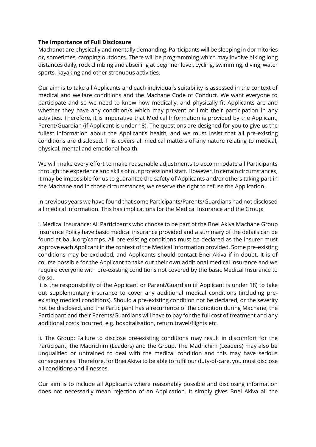#### **The Importance of Full Disclosure**

Machanot are physically and mentally demanding. Participants will be sleeping in dormitories or, sometimes, camping outdoors. There will be programming which may involve hiking long distances daily, rock climbing and abseiling at beginner level, cycling, swimming, diving, water sports, kayaking and other strenuous activities.

Our aim is to take all Applicants and each individual's suitability is assessed in the context of medical and welfare conditions and the Machane Code of Conduct. We want everyone to participate and so we need to know how medically, and physically fit Applicants are and whether they have any condition/s which may prevent or limit their participation in any activities. Therefore, it is imperative that Medical Information is provided by the Applicant, Parent/Guardian (if Applicant is under 18). The questions are designed for you to give us the fullest information about the Applicant's health, and we must insist that all pre-existing conditions are disclosed. This covers all medical matters of any nature relating to medical, physical, mental and emotional health.

We will make every effort to make reasonable adjustments to accommodate all Participants through the experience and skills of our professional staff. However, in certain circumstances, it may be impossible for us to guarantee the safety of Applicants and/or others taking part in the Machane and in those circumstances, we reserve the right to refuse the Application.

In previous years we have found that some Participants/Parents/Guardians had not disclosed all medical information. This has implications for the Medical Insurance and the Group:

i. Medical Insurance: All Participants who choose to be part of the Bnei Akiva Machane Group Insurance Policy have basic medical insurance provided and a summary of the details can be found at bauk.org/camps. All pre-existing conditions must be declared as the insurer must approve each Applicant in the context of the Medical Information provided. Some pre-existing conditions may be excluded, and Applicants should contact Bnei Akiva if in doubt. It is of course possible for the Applicant to take out their own additional medical insurance and we require everyone with pre-existing conditions not covered by the basic Medical Insurance to do so.

It is the responsibility of the Applicant or Parent/Guardian (if Applicant is under 18) to take out supplementary insurance to cover any additional medical conditions (including preexisting medical conditions). Should a pre-existing condition not be declared, or the severity not be disclosed, and the Participant has a recurrence of the condition during Machane, the Participant and their Parents/Guardians will have to pay for the full cost of treatment and any additional costs incurred, e.g. hospitalisation, return travel/flights etc.

ii. The Group: Failure to disclose pre-existing conditions may result in discomfort for the Participant, the Madrichim (Leaders) and the Group. The Madrichim (Leaders) may also be unqualified or untrained to deal with the medical condition and this may have serious consequences. Therefore, for Bnei Akiva to be able to fulfil our duty-of-care, you must disclose all conditions and illnesses.

Our aim is to include all Applicants where reasonably possible and disclosing information does not necessarily mean rejection of an Application. It simply gives Bnei Akiva all the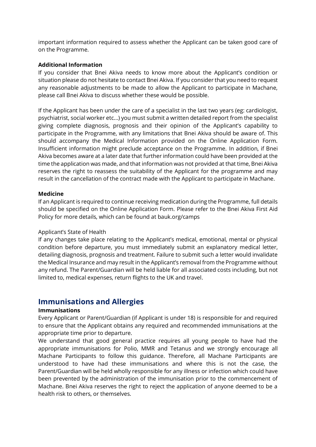important information required to assess whether the Applicant can be taken good care of on the Programme.

#### **Additional Information**

If you consider that Bnei Akiva needs to know more about the Applicant's condition or situation please do not hesitate to contact Bnei Akiva. If you consider that you need to request any reasonable adjustments to be made to allow the Applicant to participate in Machane, please call Bnei Akiva to discuss whether these would be possible.

If the Applicant has been under the care of a specialist in the last two years (eg: cardiologist, psychiatrist, social worker etc...) you must submit a written detailed report from the specialist giving complete diagnosis, prognosis and their opinion of the Applicant's capability to participate in the Programme, with any limitations that Bnei Akiva should be aware of. This should accompany the Medical Information provided on the Online Application Form. Insufficient information might preclude acceptance on the Programme. In addition, if Bnei Akiva becomes aware at a later date that further information could have been provided at the time the application was made, and that information was not provided at that time, Bnei Akiva reserves the right to reassess the suitability of the Applicant for the programme and may result in the cancellation of the contract made with the Applicant to participate in Machane.

#### **Medicine**

If an Applicant is required to continue receiving medication during the Programme, full details should be specified on the Online Application Form. Please refer to the Bnei Akiva First Aid Policy for more details, which can be found at bauk.org/camps

#### Applicant's State of Health

If any changes take place relating to the Applicant's medical, emotional, mental or physical condition before departure, you must immediately submit an explanatory medical letter, detailing diagnosis, prognosis and treatment. Failure to submit such a letter would invalidate the Medical Insurance and may result in the Applicant's removal from the Programme without any refund. The Parent/Guardian will be held liable for all associated costs including, but not limited to, medical expenses, return flights to the UK and travel.

### **Immunisations and Allergies**

#### **Immunisations**

Every Applicant or Parent/Guardian (if Applicant is under 18) is responsible for and required to ensure that the Applicant obtains any required and recommended immunisations at the appropriate time prior to departure.

We understand that good general practice requires all young people to have had the appropriate immunisations for Polio, MMR and Tetanus and we strongly encourage all Machane Participants to follow this guidance. Therefore, all Machane Participants are understood to have had these immunisations and where this is not the case, the Parent/Guardian will be held wholly responsible for any illness or infection which could have been prevented by the administration of the immunisation prior to the commencement of Machane. Bnei Akiva reserves the right to reject the application of anyone deemed to be a health risk to others, or themselves.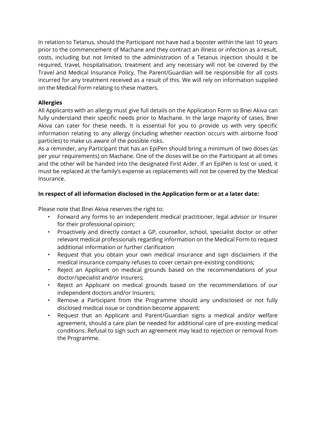In relation to Tetanus, should the Participant not have had a booster within the last 10 years prior to the commencement of Machane and they contract an illness or infection as a result, costs, including but not limited to the administration of a Tetanus injection should it be required, travel, hospitalisation, treatment and any necessary will not be covered by the Travel and Medical Insurance Policy. The Parent/Guardian will be responsible for all costs incurred for any treatment received as a result of this. We will rely on information supplied on the Medical Form relating to these matters.

#### **Allergies**

All Applicants with an allergy must give full details on the Application Form so Bnei Akiva can fully understand their specific needs prior to Machane. In the large majority of cases, Bnei Akiva can cater for these needs. It is essential for you to provide us with very specific information relating to any allergy (including whether reaction occurs with airborne food particles) to make us aware of the possible risks.

As a reminder, any Participant that has an EpiPen should bring a minimum of two doses (as per your requirements) on Machane. One of the doses will be on the Participant at all times and the other will be handed into the designated First Aider. If an EpiPen is lost or used, it must be replaced at the family's expense as replacements will not be covered by the Medical Insurance.

#### **In respect of all information disclosed in the Application form or at a later date:**

Please note that Bnei Akiva reserves the right to:

- Forward any forms to an independent medical practitioner, legal advisor or Insurer for their professional opinion;
- Proactively and directly contact a GP, counsellor, school, specialist doctor or other relevant medical professionals regarding information on the Medical Form to request additional information or further clarification
- Request that you obtain your own medical insurance and sign disclaimers if the medical insurance company refuses to cover certain pre-existing conditions;
- Reject an Applicant on medical grounds based on the recommendations of your doctor/specialist and/or Insurers;
- Reject an Applicant on medical grounds based on the recommendations of our independent doctors and/or Insurers;
- Remove a Participant from the Programme should any undisclosed or not fully disclosed medical issue or condition become apparent;
- Request that an Applicant and Parent/Guardian signs a medical and/or welfare agreement, should a care plan be needed for additional care of pre-existing medical conditions. Refusal to sign such an agreement may lead to rejection or removal from the Programme.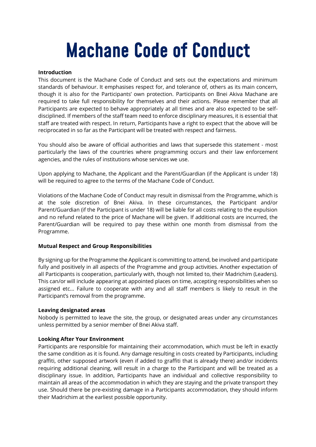# **Machane Code of Conduct**

#### **Introduction**

This document is the Machane Code of Conduct and sets out the expectations and minimum standards of behaviour. It emphasises respect for, and tolerance of, others as its main concern, though it is also for the Participants' own protection. Participants on Bnei Akiva Machane are required to take full responsibility for themselves and their actions. Please remember that all Participants are expected to behave appropriately at all times and are also expected to be selfdisciplined. If members of the staff team need to enforce disciplinary measures, it is essential that staff are treated with respect. In return, Participants have a right to expect that the above will be reciprocated in so far as the Participant will be treated with respect and fairness.

You should also be aware of official authorities and laws that supersede this statement - most particularly the laws of the countries where programming occurs and their law enforcement agencies, and the rules of institutions whose services we use.

Upon applying to Machane, the Applicant and the Parent/Guardian (if the Applicant is under 18) will be required to agree to the terms of the Machane Code of Conduct.

Violations of the Machane Code of Conduct may result in dismissal from the Programme, which is at the sole discretion of Bnei Akiva. In these circumstances, the Participant and/or Parent/Guardian (if the Participant is under 18) will be liable for all costs relating to the expulsion and no refund related to the price of Machane will be given. If additional costs are incurred, the Parent/Guardian will be required to pay these within one month from dismissal from the Programme.

#### **Mutual Respect and Group Responsibilities**

By signing up for the Programme the Applicant is committing to attend, be involved and participate fully and positively in all aspects of the Programme and group activities. Another expectation of all Participants is cooperation, particularly with, though not limited to, their Madrichim (Leaders). This can/or will include appearing at appointed places on time, accepting responsibilities when so assigned etc... Failure to cooperate with any and all staff members is likely to result in the Participant's removal from the programme.

#### **Leaving designated areas**

Nobody is permitted to leave the site, the group, or designated areas under any circumstances unless permitted by a senior member of Bnei Akiva staff.

#### **Looking After Your Environment**

Participants are responsible for maintaining their accommodation, which must be left in exactly the same condition as it is found. Any damage resulting in costs created by Participants, including graffiti, other supposed artwork (even if added to graffiti that is already there) and/or incidents requiring additional cleaning, will result in a charge to the Participant and will be treated as a disciplinary issue. In addition, Participants have an individual and collective responsibility to maintain all areas of the accommodation in which they are staying and the private transport they use. Should there be pre-existing damage in a Participants accommodation, they should inform their Madrichim at the earliest possible opportunity.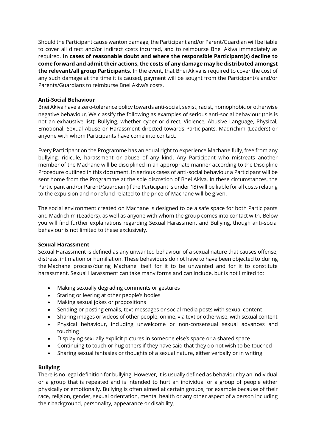Should the Participant cause wanton damage, the Participant and/or Parent/Guardian will be liable to cover all direct and/or indirect costs incurred, and to reimburse Bnei Akiva immediately as required. **In cases of reasonable doubt and where the responsible Participant(s) decline to come forward and admit their actions, the costs of any damage may be distributed amongst the relevant/all group Participants.** In the event, that Bnei Akiva is required to cover the cost of any such damage at the time it is caused, payment will be sought from the Participant/s and/or Parents/Guardians to reimburse Bnei Akiva's costs.

#### **Anti-Social Behaviour**

Bnei Akiva have a zero-tolerance policy towards anti-social, sexist, racist, homophobic or otherwise negative behaviour. We classify the following as examples of serious anti-social behaviour (this is not an exhaustive list): Bullying, whether cyber or direct, Violence, Abusive Language, Physical, Emotional, Sexual Abuse or Harassment directed towards Participants, Madrichim (Leaders) or anyone with whom Participants have come into contact.

Every Participant on the Programme has an equal right to experience Machane fully, free from any bullying, ridicule, harassment or abuse of any kind. Any Participant who mistreats another member of the Machane will be disciplined in an appropriate manner according to the Discipline Procedure outlined in this document. In serious cases of anti-social behaviour a Participant will be sent home from the Programme at the sole discretion of Bnei Akiva. In these circumstances, the Participant and/or Parent/Guardian (if the Participant is under 18) will be liable for all costs relating to the expulsion and no refund related to the price of Machane will be given.

The social environment created on Machane is designed to be a safe space for both Participants and Madrichim (Leaders), as well as anyone with whom the group comes into contact with. Below you will find further explanations regarding Sexual Harassment and Bullying, though anti-social behaviour is not limited to these exclusively.

#### **Sexual Harassment**

Sexual Harassment is defined as any unwanted behaviour of a sexual nature that causes offense, distress, intimation or humiliation. These behaviours do not have to have been objected to during the Machane process/during Machane itself for it to be unwanted and for it to constitute harassment. Sexual Harassment can take many forms and can include, but is not limited to:

- Making sexually degrading comments or gestures
- Staring or leering at other people's bodies
- Making sexual jokes or propositions
- Sending or posting emails, text messages or social media posts with sexual content
- Sharing images or videos of other people, online, via text or otherwise, with sexual content
- Physical behaviour, including unwelcome or non-consensual sexual advances and touching
- Displaying sexually explicit pictures in someone else's space or a shared space
- Continuing to touch or hug others if they have said that they do not wish to be touched
- Sharing sexual fantasies or thoughts of a sexual nature, either verbally or in writing

#### **Bullying**

There is no legal definition for bullying. However, it is usually defined as behaviour by an individual or a group that is repeated and is intended to hurt an individual or a group of people either physically or emotionally. Bullying is often aimed at certain groups, for example because of their race, religion, gender, sexual orientation, mental health or any other aspect of a person including their background, personality, appearance or disability.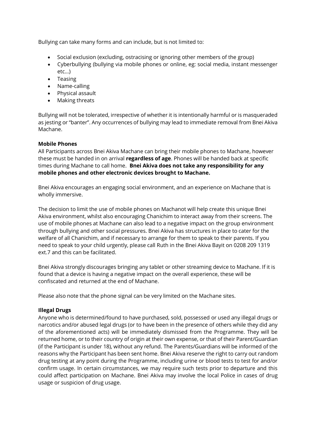Bullying can take many forms and can include, but is not limited to:

- Social exclusion (excluding, ostracising or ignoring other members of the group)
- Cyberbullying (bullying via mobile phones or online, eg: social media, instant messenger etc…)
- Teasing
- Name-calling
- Physical assault
- Making threats

Bullying will not be tolerated, irrespective of whether it is intentionally harmful or is masqueraded as jesting or "banter". Any occurrences of bullying may lead to immediate removal from Bnei Akiva Machane.

#### **Mobile Phones**

All Participants across Bnei Akiva Machane can bring their mobile phones to Machane, however these must be handed in on arrival **regardless of age**. Phones will be handed back at specific times during Machane to call home. **Bnei Akiva does not take any responsibility for any mobile phones and other electronic devices brought to Machane.**

Bnei Akiva encourages an engaging social environment, and an experience on Machane that is wholly immersive.

The decision to limit the use of mobile phones on Machanot will help create this unique Bnei Akiva environment, whilst also encouraging Chanichim to interact away from their screens. The use of mobile phones at Machane can also lead to a negative impact on the group environment through bullying and other social pressures. Bnei Akiva has structures in place to cater for the welfare of all Chanichim, and if necessary to arrange for them to speak to their parents. If you need to speak to your child urgently, please call Ruth in the Bnei Akiva Bayit on 0208 209 1319 ext.7 and this can be facilitated.

Bnei Akiva strongly discourages bringing any tablet or other streaming device to Machane. If it is found that a device is having a negative impact on the overall experience, these will be confiscated and returned at the end of Machane.

Please also note that the phone signal can be very limited on the Machane sites.

#### **Illegal Drugs**

Anyone who is determined/found to have purchased, sold, possessed or used any illegal drugs or narcotics and/or abused legal drugs (or to have been in the presence of others while they did any of the aforementioned acts) will be immediately dismissed from the Programme. They will be returned home, or to their country of origin at their own expense, or that of their Parent/Guardian (if the Participant is under 18), without any refund. The Parents/Guardians will be informed of the reasons why the Participant has been sent home. Bnei Akiva reserve the right to carry out random drug testing at any point during the Programme, including urine or blood tests to test for and/or confirm usage. In certain circumstances, we may require such tests prior to departure and this could affect participation on Machane. Bnei Akiva may involve the local Police in cases of drug usage or suspicion of drug usage.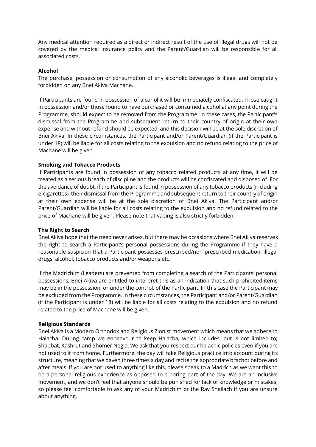Any medical attention required as a direct or indirect result of the use of illegal drugs will not be covered by the medical insurance policy and the Parent/Guardian will be responsible for all associated costs.

#### **Alcohol**

The purchase, possession or consumption of any alcoholic beverages is illegal and completely forbidden on any Bnei Akiva Machane.

If Participants are found in possession of alcohol it will be immediately confiscated. Those caught in possession and/or those found to have purchased or consumed alcohol at any point during the Programme, should expect to be removed from the Programme. In these cases, the Participant's dismissal from the Programme and subsequent return to their country of origin at their own expense and without refund should be expected, and this decision will be at the sole discretion of Bnei Akiva. In these circumstances, the Participant and/or Parent/Guardian (if the Participant is under 18) will be liable for all costs relating to the expulsion and no refund relating to the price of Machane will be given.

#### **Smoking and Tobacco Products**

If Participants are found in possession of any tobacco related products at any time, it will be treated as a serious breach of discipline and the products will be confiscated and disposed of. For the avoidance of doubt, if the Participant is found in possession of any tobacco products (including e-cigarettes), their dismissal from the Programme and subsequent return to their country of origin at their own expense will be at the sole discretion of Bnei Akiva. The Participant and/or Parent/Guardian will be liable for all costs relating to the expulsion and no refund related to the price of Machane will be given. Please note that vaping is also strictly forbidden.

#### **The Right to Search**

Bnei Akiva hope that the need never arises, but there may be occasions where Bnei Akiva reserves the right to search a Participant's personal possessions during the Programme if they have a reasonable suspicion that a Participant possesses prescribed/non-prescribed medication, illegal drugs, alcohol, tobacco products and/or weapons etc.

If the Madrichim (Leaders) are prevented from completing a search of the Participants' personal possessions, Bnei Akiva are entitled to interpret this as an indication that such prohibited items may be in the possession, or under the control, of the Participant. In this case the Participant may be excluded from the Programme. In these circumstances, the Participant and/or Parent/Guardian (if the Participant is under 18) will be liable for all costs relating to the expulsion and no refund related to the price of Machane will be given.

#### **Religious Standards**

Bnei Akiva is a Modern Orthodox and Religious Zionist movement which means that we adhere to Halacha. During camp we endeavour to keep Halacha, which includes, but is not limited to; Shabbat, Kashrut and Shomer Negia. We ask that you respect our halachic policies even if you are not used to it from home. Furthermore, the day will take Religious practice into account during its structure, meaning that we daven three times a day and recite the appropriate brachot before and after meals. If you are not used to anything like this, please speak to a Madrich as we want this to be a personal religious experience as opposed to a boring part of the day. We are an inclusive movement, and we don't feel that anyone should be punished for lack of knowledge or mistakes, so please feel comfortable to ask any of your Madrichim or the Rav Shaliach if you are unsure about anything.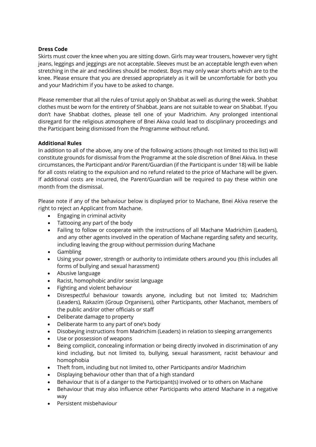#### **Dress Code**

Skirts must cover the knee when you are sitting down. Girls may wear trousers, however very tight jeans, leggings and jeggings are not acceptable. Sleeves must be an acceptable length even when stretching in the air and necklines should be modest. Boys may only wear shorts which are to the knee. Please ensure that you are dressed appropriately as it will be uncomfortable for both you and your Madrichim if you have to be asked to change.

Please remember that all the rules of tzniut apply on Shabbat as well as during the week. Shabbat clothes must be worn for the entirety of Shabbat. Jeans are not suitable to wear on Shabbat. If you don't have Shabbat clothes, please tell one of your Madrichim. Any prolonged intentional disregard for the religious atmosphere of Bnei Akiva could lead to disciplinary proceedings and the Participant being dismissed from the Programme without refund.

#### **Additional Rules**

In addition to all of the above, any one of the following actions (though not limited to this list) will constitute grounds for dismissal from the Programme at the sole discretion of Bnei Akiva. In these circumstances, the Participant and/or Parent/Guardian (if the Participant is under 18) will be liable for all costs relating to the expulsion and no refund related to the price of Machane will be given. If additional costs are incurred, the Parent/Guardian will be required to pay these within one month from the dismissal.

Please note if any of the behaviour below is displayed prior to Machane, Bnei Akiva reserve the right to reject an Applicant from Machane.

- Engaging in criminal activity
- Tattooing any part of the body
- Failing to follow or cooperate with the instructions of all Machane Madrichim (Leaders), and any other agents involved in the operation of Machane regarding safety and security, including leaving the group without permission during Machane
- Gambling
- Using your power, strength or authority to intimidate others around you (this includes all forms of bullying and sexual harassment)
- Abusive language
- Racist, homophobic and/or sexist language
- Fighting and violent behaviour
- Disrespectful behaviour towards anyone, including but not limited to; Madrichim (Leaders), Rakazim (Group Organisers), other Participants, other Machanot, members of the public and/or other officials or staff
- Deliberate damage to property
- Deliberate harm to any part of one's body
- Disobeying instructions from Madrichim (Leaders) in relation to sleeping arrangements
- Use or possession of weapons
- Being complicit, concealing information or being directly involved in discrimination of any kind including, but not limited to, bullying, sexual harassment, racist behaviour and homophobia
- Theft from, including but not limited to, other Participants and/or Madrichim
- Displaying behaviour other than that of a high standard
- Behaviour that is of a danger to the Participant(s) involved or to others on Machane
- Behaviour that may also influence other Participants who attend Machane in a negative way
- Persistent misbehaviour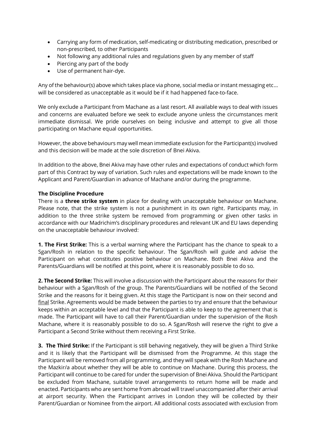- Carrying any form of medication, self-medicating or distributing medication, prescribed or non-prescribed, to other Participants
- Not following any additional rules and regulations given by any member of staff
- Piercing any part of the body
- Use of permanent hair-dye.

Any of the behaviour(s) above which takes place via phone, social media or instant messaging etc… will be considered as unacceptable as it would be if it had happened face-to-face.

We only exclude a Participant from Machane as a last resort. All available ways to deal with issues and concerns are evaluated before we seek to exclude anyone unless the circumstances merit immediate dismissal. We pride ourselves on being inclusive and attempt to give all those participating on Machane equal opportunities.

However, the above behaviours may well mean immediate exclusion for the Participant(s) involved and this decision will be made at the sole discretion of Bnei Akiva.

In addition to the above, Bnei Akiva may have other rules and expectations of conduct which form part of this Contract by way of variation. Such rules and expectations will be made known to the Applicant and Parent/Guardian in advance of Machane and/or during the programme.

#### **The Discipline Procedure**

There is a **three strike system** in place for dealing with unacceptable behaviour on Machane. Please note, that the strike system is not a punishment in its own right. Participants may, in addition to the three strike system be removed from programming or given other tasks in accordance with our Madrichim's disciplinary procedures and relevant UK and EU laws depending on the unacceptable behaviour involved:

**1. The First Strike:** This is a verbal warning where the Participant has the chance to speak to a Sgan/Rosh in relation to the specific behaviour. The Sgan/Rosh will guide and advise the Participant on what constitutes positive behaviour on Machane. Both Bnei Akiva and the Parents/Guardians will be notified at this point, where it is reasonably possible to do so.

**2. The Second Strike:** This will involve a discussion with the Participant about the reasons for their behaviour with a Sgan/Rosh of the group. The Parents/Guardians will be notified of the Second Strike and the reasons for it being given. At this stage the Participant is now on their second and final Strike. Agreements would be made between the parties to try and ensure that the behaviour keeps within an acceptable level and that the Participant is able to keep to the agreement that is made. The Participant will have to call their Parent/Guardian under the supervision of the Rosh Machane, where it is reasonably possible to do so. A Sgan/Rosh will reserve the right to give a Participant a Second Strike without them receiving a First Strike.

**3. The Third Strike:** If the Participant is still behaving negatively, they will be given a Third Strike and it is likely that the Participant will be dismissed from the Programme. At this stage the Participant will be removed from all programming, and they will speak with the Rosh Machane and the Mazkir/a about whether they will be able to continue on Machane. During this process, the Participant will continue to be cared for under the supervision of Bnei Akiva. Should the Participant be excluded from Machane, suitable travel arrangements to return home will be made and enacted. Participants who are sent home from abroad will travel unaccompanied after their arrival at airport security. When the Participant arrives in London they will be collected by their Parent/Guardian or Nominee from the airport. All additional costs associated with exclusion from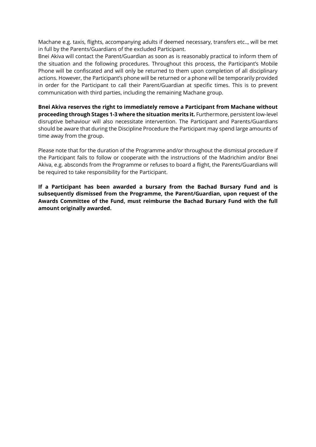Machane e.g. taxis, flights, accompanying adults if deemed necessary, transfers etc.., will be met in full by the Parents/Guardians of the excluded Participant.

Bnei Akiva will contact the Parent/Guardian as soon as is reasonably practical to inform them of the situation and the following procedures. Throughout this process, the Participant's Mobile Phone will be confiscated and will only be returned to them upon completion of all disciplinary actions. However, the Participant's phone will be returned or a phone will be temporarily provided in order for the Participant to call their Parent/Guardian at specific times. This is to prevent communication with third parties, including the remaining Machane group.

**Bnei Akiva reserves the right to immediately remove a Participant from Machane without proceeding through Stages 1-3 where the situation merits it.** Furthermore, persistent low-level disruptive behaviour will also necessitate intervention. The Participant and Parents/Guardians should be aware that during the Discipline Procedure the Participant may spend large amounts of time away from the group.

Please note that for the duration of the Programme and/or throughout the dismissal procedure if the Participant fails to follow or cooperate with the instructions of the Madrichim and/or Bnei Akiva, e.g. absconds from the Programme or refuses to board a flight, the Parents/Guardians will be required to take responsibility for the Participant.

**If a Participant has been awarded a bursary from the Bachad Bursary Fund and is subsequently dismissed from the Programme, the Parent/Guardian, upon request of the Awards Committee of the Fund, must reimburse the Bachad Bursary Fund with the full amount originally awarded.**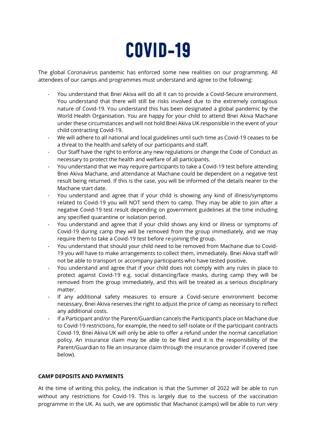

The global Coronavirus pandemic has enforced some new realities on our programming. All attendees of our camps and programmes must understand and agree to the following:

- You understand that Bnei Akiva will do all it can to provide a Covid-Secure environment. You understand that there will still be risks involved due to the extremely contagious nature of Covid-19. You understand this has been designated a global pandemic by the World Health Organisation. You are happy for your child to attend Bnei Akiva Machane under these circumstances and will not hold Bnei Akiva UK responsible in the event of your child contracting Covid-19.
- We will adhere to all national and local guidelines until such time as Covid-19 ceases to be a threat to the health and safety of our participants and staff.
- Our Staff have the right to enforce any new regulations or change the Code of Conduct as necessary to protect the health and welfare of all participants.
- You understand that we may require participants to take a Covid-19 test before attending Bnei Akiva Machane, and attendance at Machane could be dependent on a negative test result being returned. If this is the case, you will be informed of the details nearer to the Machane start date.
- You understand and agree that if your child is showing any kind of illness/symptoms related to Covid-19 you will NOT send them to camp. They may be able to join after a negative Covid-19 test result depending on government guidelines at the time including any specified quarantine or isolation period.
- You understand and agree that if your child shows any kind or illness or symptoms of Covid-19 during camp they will be removed from the group immediately, and we may require them to take a Covid-19 test before re-joining the group.
- You understand that should your child need to be removed from Machane due to Covid-19 you will have to make arrangements to collect them, immediately. Bnei Akiva staff will not be able to transport or accompany participants who have tested positive.
- You understand and agree that if your child does not comply with any rules in place to protect against Covid-19 e.g. social distancing/face masks, during camp they will be removed from the group immediately, and this will be treated as a serious disciplinary matter.
- If any additional safety measures to ensure a Covid-secure environment become necessary, Bnei Akiva reserves the right to adjust the price of camp as necessary to reflect any additional costs.
- If a Participant and/or the Parent/Guardian cancels the Participant's place on Machane due to Covid-19 restrictions, for example, the need to self-isolate or if the participant contracts Covid-19, Bnei Akiva UK will only be able to offer a refund under the normal cancellation policy. An insurance claim may be able to be filed and it is the responsibility of the Parent/Guardian to file an insurance claim through the insurance provider if covered (see below).

#### **CAMP DEPOSITS AND PAYMENTS**

At the time of writing this policy, the indication is that the Summer of 2022 will be able to run without any restrictions for Covid-19. This is largely due to the success of the vaccination programme in the UK. As such, we are optimistic that Machanot (camps) will be able to run very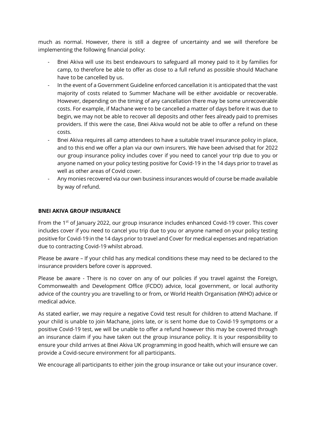much as normal. However, there is still a degree of uncertainty and we will therefore be implementing the following financial policy:

- Bnei Akiva will use its best endeavours to safeguard all money paid to it by families for camp, to therefore be able to offer as close to a full refund as possible should Machane have to be cancelled by us.
- In the event of a Government Guideline enforced cancellation it is anticipated that the vast majority of costs related to Summer Machane will be either avoidable or recoverable. However, depending on the timing of any cancellation there may be some unrecoverable costs. For example, if Machane were to be cancelled a matter of days before it was due to begin, we may not be able to recover all deposits and other fees already paid to premises providers. If this were the case, Bnei Akiva would not be able to offer a refund on these costs.
- Bnei Akiva requires all camp attendees to have a suitable travel insurance policy in place, and to this end we offer a plan via our own insurers. We have been advised that for 2022 our group insurance policy includes cover if you need to cancel your trip due to you or anyone named on your policy testing positive for Covid-19 in the 14 days prior to travel as well as other areas of Covid cover.
- Any monies recovered via our own business insurances would of course be made available by way of refund.

#### **BNEI AKIVA GROUP INSURANCE**

From the 1<sup>st</sup> of January 2022, our group insurance includes enhanced Covid-19 cover. This cover includes cover if you need to cancel you trip due to you or anyone named on your policy testing positive for Covid-19 in the 14 days prior to travel and Cover for medical expenses and repatriation due to contracting Covid-19 whilst abroad.

Please be aware – If your child has any medical conditions these may need to be declared to the insurance providers before cover is approved.

Please be aware - There is no cover on any of our policies if you travel against the Foreign, Commonwealth and Development Office (FCDO) advice, local government, or local authority advice of the country you are travelling to or from, or World Health Organisation (WHO) advice or medical advice.

As stated earlier, we may require a negative Covid test result for children to attend Machane. If your child is unable to join Machane, joins late, or is sent home due to Covid-19 symptoms or a positive Covid-19 test, we will be unable to offer a refund however this may be covered through an insurance claim if you have taken out the group insurance policy. It is your responsibility to ensure your child arrives at Bnei Akiva UK programming in good health, which will ensure we can provide a Covid-secure environment for all participants.

We encourage all participants to either join the group insurance or take out your insurance cover.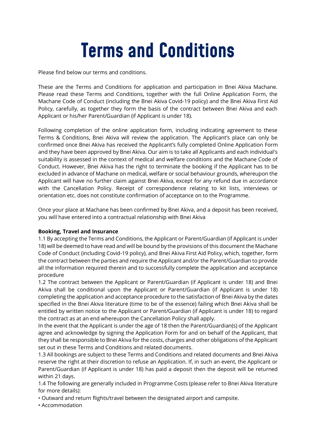# **Terms and Conditions**

Please find below our terms and conditions.

These are the Terms and Conditions for application and participation in Bnei Akiva Machane. Please read these Terms and Conditions, together with the full Online Application Form, the Machane Code of Conduct (including the Bnei Akiva Covid-19 policy) and the Bnei Akiva First Aid Policy, carefully, as together they form the basis of the contract between Bnei Akiva and each Applicant or his/her Parent/Guardian (if Applicant is under 18).

Following completion of the online application form, including indicating agreement to these Terms & Conditions, Bnei Akiva will review the application. The Applicant's place can only be confirmed once Bnei Akiva has received the Applicant's fully completed Online Application Form and they have been approved by Bnei Akiva. Our aim is to take all Applicants and each individual's suitability is assessed in the context of medical and welfare conditions and the Machane Code of Conduct. However, Bnei Akiva has the right to terminate the booking if the Applicant has to be excluded in advance of Machane on medical, welfare or social behaviour grounds, whereupon the Applicant will have no further claim against Bnei Akiva, except for any refund due in accordance with the Cancellation Policy. Receipt of correspondence relating to kit lists, interviews or orientation etc. does not constitute confirmation of acceptance on to the Programme.

Once your place at Machane has been confirmed by Bnei Akiva, and a deposit has been received, you will have entered into a contractual relationship with Bnei Akiva

#### **Booking, Travel and Insurance**

1.1 By accepting the Terms and Conditions, the Applicant or Parent/Guardian (if Applicant is under 18) will be deemed to have read and will be bound by the provisions of this document the Machane Code of Conduct (including Covid-19 policy), and Bnei Akiva First Aid Policy, which, together, form the contract between the parties and require the Applicant and/or the Parent/Guardian to provide all the information required therein and to successfully complete the application and acceptance procedure

1.2 The contract between the Applicant or Parent/Guardian (if Applicant is under 18) and Bnei Akiva shall be conditional upon the Applicant or Parent/Guardian (if Applicant is under 18) completing the application and acceptance procedure to the satisfaction of Bnei Akiva by the dates specified in the Bnei Akiva literature (time to be of the essence) failing which Bnei Akiva shall be entitled by written notice to the Applicant or Parent/Guardian (if Applicant is under 18) to regard the contract as at an end whereupon the Cancellation Policy shall apply.

In the event that the Applicant is under the age of 18 then the Parent/Guardian(s) of the Applicant agree and acknowledge by signing the Application Form for and on behalf of the Applicant, that they shall be responsible to Bnei Akiva for the costs, charges and other obligations of the Applicant set out in these Terms and Conditions and related documents.

1.3 All bookings are subject to these Terms and Conditions and related documents and Bnei Akiva reserve the right at their discretion to refuse an Application. If, in such an event, the Applicant or Parent/Guardian (if Applicant is under 18) has paid a deposit then the deposit will be returned within 21 days.

1.4 The following are generally included in Programme Costs (please refer to Bnei Akiva literature for more details):

• Outward and return flights/travel between the designated airport and campsite.

• Accommodation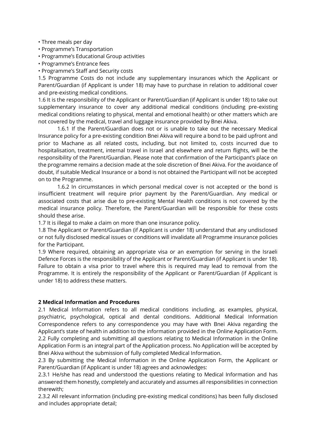#### • Three meals per day

- Programme's Transportation
- Programme's Educational Group activities
- Programme's Entrance fees
- Programme's Staff and Security costs

1.5 Programme Costs do not include any supplementary insurances which the Applicant or Parent/Guardian (if Applicant is under 18) may have to purchase in relation to additional cover and pre-existing medical conditions.

1.6 It is the responsibility of the Applicant or Parent/Guardian (if Applicant is under 18) to take out supplementary insurance to cover any additional medical conditions (including pre-existing medical conditions relating to physical, mental and emotional health) or other matters which are not covered by the medical, travel and luggage insurance provided by Bnei Akiva.

1.6.1 If the Parent/Guardian does not or is unable to take out the necessary Medical Insurance policy for a pre-existing condition Bnei Akiva will require a bond to be paid upfront and prior to Machane as all related costs, including, but not limited to, costs incurred due to hospitalisation, treatment, internal travel in Israel and elsewhere and return flights, will be the responsibility of the Parent/Guardian. Please note that confirmation of the Participant's place on the programme remains a decision made at the sole discretion of Bnei Akiva. For the avoidance of doubt, if suitable Medical Insurance or a bond is not obtained the Participant will not be accepted on to the Programme.

1.6.2 In circumstances in which personal medical cover is not accepted or the bond is insufficient treatment will require prior payment by the Parent/Guardian. Any medical or associated costs that arise due to pre-existing Mental Health conditions is not covered by the medical insurance policy. Therefore, the Parent/Guardian will be responsible for these costs should these arise.

1.7 It is illegal to make a claim on more than one insurance policy.

1.8 The Applicant or Parent/Guardian (if Applicant is under 18) understand that any undisclosed or not fully disclosed medical issues or conditions will invalidate all Programme insurance policies for the Participant.

1.9 Where required, obtaining an appropriate visa or an exemption for serving in the Israeli Defence Forces is the responsibility of the Applicant or Parent/Guardian (if Applicant is under 18). Failure to obtain a visa prior to travel where this is required may lead to removal from the Programme. It is entirely the responsibility of the Applicant or Parent/Guardian (if Applicant is under 18) to address these matters.

#### **2 Medical Information and Procedures**

2.1 Medical Information refers to all medical conditions including, as examples, physical, psychiatric, psychological, optical and dental conditions. Additional Medical Information Correspondence refers to any correspondence you may have with Bnei Akiva regarding the Applicant's state of health in addition to the information provided in the Online Application Form. 2.2 Fully completing and submitting all questions relating to Medical Information in the Online Application Form is an integral part of the Application process. No Application will be accepted by Bnei Akiva without the submission of fully completed Medical Information.

2.3 By submitting the Medical Information in the Online Application Form, the Applicant or Parent/Guardian (if Applicant is under 18) agrees and acknowledges:

2.3.1 He/she has read and understood the questions relating to Medical Information and has answered them honestly, completely and accurately and assumes all responsibilities in connection therewith;

2.3.2 All relevant information (including pre-existing medical conditions) has been fully disclosed and includes appropriate detail;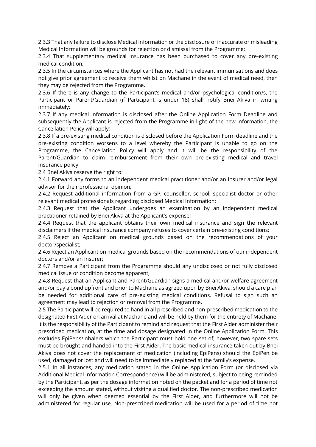2.3.3 That any failure to disclose Medical Information or the disclosure of inaccurate or misleading Medical Information will be grounds for rejection or dismissal from the Programme;

2.3.4 That supplementary medical insurance has been purchased to cover any pre-existing medical condition;

2.3.5 In the circumstances where the Applicant has not had the relevant immunisations and does not give prior agreement to receive them whilst on Machane in the event of medical need, then they may be rejected from the Programme.

2.3.6 If there is any change to the Participant's medical and/or psychological condition/s, the Participant or Parent/Guardian (if Participant is under 18) shall notify Bnei Akiva in writing immediately;

2.3.7 If any medical information is disclosed after the Online Application Form Deadline and subsequently the Applicant is rejected from the Programme in light of the new information, the Cancellation Policy will apply;

2.3.8 If a pre-existing medical condition is disclosed before the Application Form deadline and the pre-existing condition worsens to a level whereby the Participant is unable to go on the Programme, the Cancellation Policy will apply and it will be the responsibility of the Parent/Guardian to claim reimbursement from their own pre-existing medical and travel insurance policy.

2.4 Bnei Akiva reserve the right to:

2.4.1 Forward any forms to an independent medical practitioner and/or an Insurer and/or legal advisor for their professional opinion;

2.4.2 Request additional information from a GP, counsellor, school, specialist doctor or other relevant medical professionals regarding disclosed Medical Information;

2.4.3 Request that the Applicant undergoes an examination by an independent medical practitioner retained by Bnei Akiva at the Applicant's expense;

2.4.4 Request that the applicant obtains their own medical insurance and sign the relevant disclaimers if the medical insurance company refuses to cover certain pre-existing conditions;

2.4.5 Reject an Applicant on medical grounds based on the recommendations of your doctor/specialist;

2.4.6 Reject an Applicant on medical grounds based on the recommendations of our independent doctors and/or an Insurer;

2.4.7 Remove a Participant from the Programme should any undisclosed or not fully disclosed medical issue or condition become apparent;

2.4.8 Request that an Applicant and Parent/Guardian signs a medical and/or welfare agreement and/or pay a bond upfront and prior to Machane as agreed upon by Bnei Akiva, should a care plan be needed for additional care of pre-existing medical conditions. Refusal to sign such an agreement may lead to rejection or removal from the Programme.

2.5 The Participant will be required to hand in all prescribed and non-prescribed medication to the designated First Aider on arrival at Machane and will be held by them for the entirety of Machane. It is the responsibility of the Participant to remind and request that the First Aider administer their prescribed medication, at the time and dosage designated in the Online Application Form. This excludes EpiPens/Inhalers which the Participant must hold one set of; however, two spare sets must be brought and handed into the First Aider. The basic medical insurance taken out by Bnei Akiva does not cover the replacement of medication (including EpiPens) should the EpiPen be used, damaged or lost and will need to be immediately replaced at the family's expense.

2.5.1 In all instances, any medication stated in the Online Application Form (or disclosed via Additional Medical Information Correspondence) will be administered, subject to being reminded by the Participant, as per the dosage information noted on the packet and for a period of time not exceeding the amount stated, without visiting a qualified doctor. The non-prescribed medication will only be given when deemed essential by the First Aider, and furthermore will not be administered for regular use. Non-prescribed medication will be used for a period of time not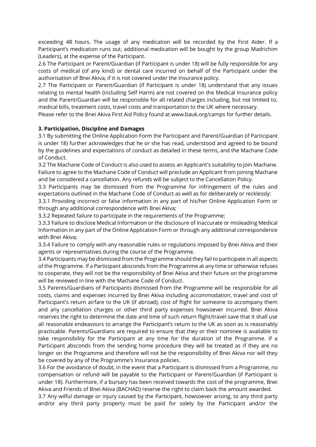exceeding 48 hours. The usage of any medication will be recorded by the First Aider. If a Participant's medication runs out, additional medication will be bought by the group Madrichim (Leaders), at the expense of the Participant.

2.6 The Participant or Parent/Guardian (if Participant is under 18) will be fully responsible for any costs of medical (of any kind) or dental care incurred on behalf of the Participant under the authorisation of Bnei Akiva, if it is not covered under the insurance policy.

2.7 The Participant or Parent/Guardian (if Participant is under 18) understand that any issues relating to mental health (including Self Harm) are not covered on the Medical Insurance policy and the Parent/Guardian will be responsible for all related charges including, but not limited to, medical bills, treatment costs, travel costs and transportation to the UK where necessary.

Please refer to the Bnei Akiva First Aid Policy found at www.bauk.org/camps for further details.

#### **3. Participation, Discipline and Damages**

3.1 By submitting the Online Application Form the Participant and Parent/Guardian (if Participant is under 18) further acknowledges that he or she has read, understood and agreed to be bound by the guidelines and expectations of conduct as detailed in these terms, and the Machane Code of Conduct.

3.2 The Machane Code of Conduct is also used to assess an Applicant's suitability to join Machane. Failure to agree to the Machane Code of Conduct will preclude an Applicant from joining Machane and be considered a cancellation. Any refunds will be subject to the Cancellation Policy.

3.3 Participants may be dismissed from the Programme for infringement of the rules and expectations outlined in the Machane Code of Conduct as well as for deliberately or recklessly:

3.3.1 Providing incorrect or false information in any part of his/her Online Application Form or through any additional correspondence with Bnei Akiva;

3.3.2 Repeated failure to participate in the requirements of the Programme;

3.3.3 Failure to disclose Medical Information or the disclosure of inaccurate or misleading Medical Information in any part of the Online Application Form or through any additional correspondence with Bnei Akiva;

3.3.4 Failure to comply with any reasonable rules or regulations imposed by Bnei Akiva and their agents or representatives during the course of the Programme.

3.4 Participants may be dismissed from the Programme should they fail to participate in all aspects of the Programme. If a Participant absconds from the Programme at any time or otherwise refuses to cooperate, they will not be the responsibility of Bnei Akiva and their future on the programme will be reviewed in line with the Machane Code of Conduct.

3.5 Parents/Guardians of Participants dismissed from the Programme will be responsible for all costs, claims and expenses incurred by Bnei Akiva including accommodation, travel and cost of Participant's return airfare to the UK (if abroad), cost of flight for someone to accompany them and any cancellation charges or other third party expenses howsoever incurred. Bnei Akiva reserves the right to determine the date and time of such return flight/travel save that it shall use all reasonable endeavours to arrange the Participant's return to the UK as soon as is reasonably practicable. Parents/Guardians are required to ensure that they or their nominee is available to take responsibility for the Participant at any time for the duration of the Programme. If a Participant absconds from the sending home procedure they will be treated as if they are no longer on the Programme and therefore will not be the responsibility of Bnei Akiva nor will they be covered by any of the Programme's Insurance policies.

3.6 For the avoidance of doubt, in the event that a Participant is dismissed from a Programme, no compensation or refund will be payable to the Participant or Parent/Guardian (if Participant is under 18). Furthermore, if a bursary has been received towards the cost of the programme, Bnei Akiva and Friends of Bnei Akiva (BACHAD) reserve the right to claim back the amount awarded.

3.7 Any wilful damage or injury caused by the Participant, howsoever arising, to any third party and/or any third party property must be paid for solely by the Participant and/or the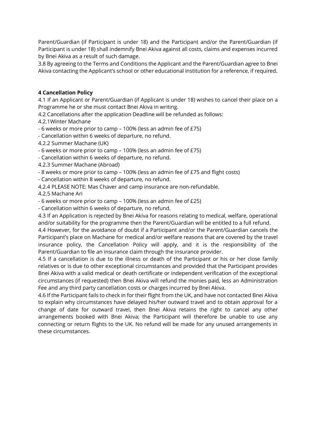Parent/Guardian (if Participant is under 18) and the Participant and/or the Parent/Guardian (if Participant is under 18) shall indemnify Bnei Akiva against all costs, claims and expenses incurred by Bnei Akiva as a result of such damage.

3.8 By agreeing to the Terms and Conditions the Applicant and the Parent/Guardian agree to Bnei Akiva contacting the Applicant's school or other educational institution for a reference, if required.

#### **4 Cancellation Policy**

4.1 If an Applicant or Parent/Guardian (if Applicant is under 18) wishes to cancel their place on a Programme he or she must contact Bnei Akiva in writing.

4.2 Cancellations after the application Deadline will be refunded as follows:

4.2.1Winter Machane

- 6 weeks or more prior to camp – 100% (less an admin fee of £75)

- Cancellation within 6 weeks of departure, no refund.

- 4.2.2 Summer Machane (UK)
- 6 weeks or more prior to camp 100% (less an admin fee of £75)
- Cancellation within 6 weeks of departure, no refund.
- 4.2.3 Summer Machane (Abroad)
- 8 weeks or more prior to camp 100% (less an admin fee of £75 and flight costs)
- Cancellation within 8 weeks of departure, no refund.
- 4.2.4 PLEASE NOTE: Mas Chaver and camp insurance are non-refundable.
- 4.2.5 Machane Ari

- 6 weeks or more prior to camp – 100% (less an admin fee of £25)

- Cancellation within 6 weeks of departure, no refund.

4.3 If an Application is rejected by Bnei Akiva for reasons relating to medical, welfare, operational and/or suitability for the programme then the Parent/Guardian will be entitled to a full refund.

4.4 However, for the avoidance of doubt if a Participant and/or the Parent/Guardian cancels the Participant's place on Machane for medical and/or welfare reasons that are covered by the travel insurance policy, the Cancellation Policy will apply, and it is the responsibility of the Parent/Guardian to file an insurance claim through the insurance provider.

4.5 If a cancellation is due to the illness or death of the Participant or his or her close family relatives or is due to other exceptional circumstances and provided that the Participant provides Bnei Akiva with a valid medical or death certificate or independent verification of the exceptional circumstances (if requested) then Bnei Akiva will refund the monies paid, less an Administration Fee and any third party cancellation costs or charges incurred by Bnei Akiva.

4.6 If the Participant fails to check in for their flight from the UK, and have not contacted Bnei Akiva to explain why circumstances have delayed his/her outward travel and to obtain approval for a change of date for outward travel, then Bnei Akiva retains the right to cancel any other arrangements booked with Bnei Akiva; the Participant will therefore be unable to use any connecting or return flights to the UK. No refund will be made for any unused arrangements in these circumstances.